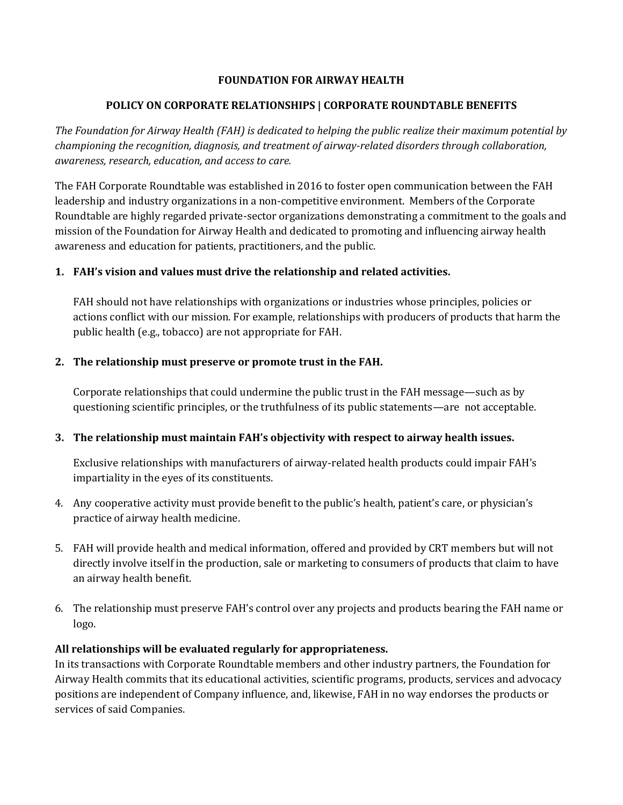### **FOUNDATION FOR AIRWAY HEALTH**

### **POLICY ON CORPORATE RELATIONSHIPS | CORPORATE ROUNDTABLE BENEFITS**

*The Foundation for Airway Health (FAH) is dedicated to helping the public realize their maximum potential by championing the recognition, diagnosis, and treatment of airway-related disorders through collaboration, awareness, research, education, and access to care.*

The FAH Corporate Roundtable was established in 2016 to foster open communication between the FAH leadership and industry organizations in a non-competitive environment. Members of the Corporate Roundtable are highly regarded private-sector organizations demonstrating a commitment to the goals and mission of the Foundation for Airway Health and dedicated to promoting and influencing airway health awareness and education for patients, practitioners, and the public.

# **1. FAH's vision and values must drive the relationship and related activities.**

FAH should not have relationships with organizations or industries whose principles, policies or actions conflict with our mission. For example, relationships with producers of products that harm the public health (e.g., tobacco) are not appropriate for FAH.

#### **2. The relationship must preserve or promote trust in the FAH.**

Corporate relationships that could undermine the public trust in the FAH message—such as by questioning scientific principles, or the truthfulness of its public statements—are not acceptable.

# **3. The relationship must maintain FAH's objectivity with respect to airway health issues.**

Exclusive relationships with manufacturers of airway-related health products could impair FAH's impartiality in the eyes of its constituents.

- 4. Any cooperative activity must provide benefit to the public's health, patient's care, or physician's practice of airway health medicine.
- 5. FAH will provide health and medical information, offered and provided by CRT members but will not directly involve itself in the production, sale or marketing to consumers of products that claim to have an airway health benefit.
- 6. The relationship must preserve FAH's control over any projects and products bearing the FAH name or logo.

# **All relationships will be evaluated regularly for appropriateness.**

In its transactions with Corporate Roundtable members and other industry partners, the Foundation for Airway Health commits that its educational activities, scientific programs, products, services and advocacy positions are independent of Company influence, and, likewise, FAH in no way endorses the products or services of said Companies.